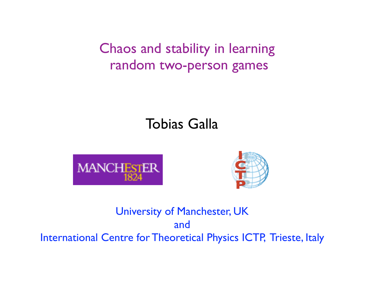Chaos and stability in learning random two-person games

# Tobias Galla





### University of Manchester, UK and International Centre for Theoretical Physics ICTP, Trieste, Italy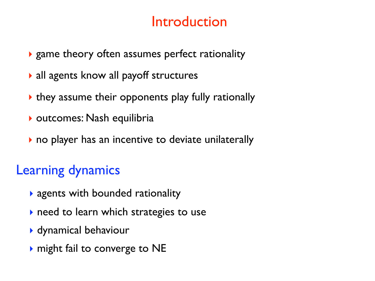# Introduction

- ‣ game theory often assumes perfect rationality
- ‣ all agents know all payoff structures
- ‣ they assume their opponents play fully rationally
- ‣ outcomes: Nash equilibria
- ‣ no player has an incentive to deviate unilaterally

# Learning dynamics

- ‣ agents with bounded rationality
- ‣ need to learn which strategies to use
- ‣ dynamical behaviour
- ‣ might fail to converge to NE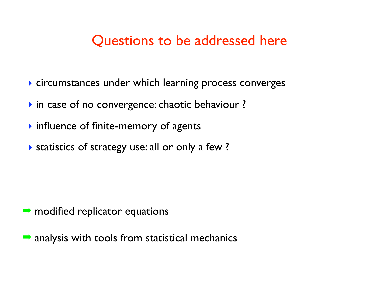## Questions to be addressed here

- ‣ circumstances under which learning process converges
- ‣ in case of no convergence: chaotic behaviour ?
- ‣ influence of finite-memory of agents
- ‣ statistics of strategy use: all or only a few ?

- $\rightarrow$  modified replicator equations
- $\rightarrow$  analysis with tools from statistical mechanics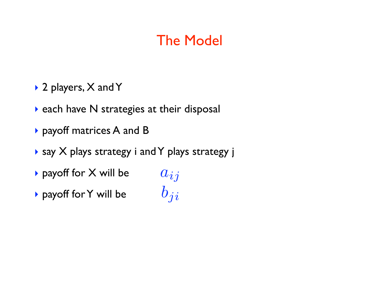# The Model

- ▶ 2 players, X and Y
- ‣ each have N strategies at their disposal
- ‣ payoff matrices A and B
- ‣ say X plays strategy i and Y plays strategy j
- ‣ payoff for X will be
- ‣ payoff for Y will be

 $a_{ij}$  $b_{ji}$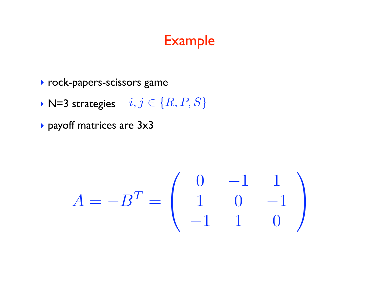# Example

- ‣ rock-papers-scissors game
- ▶ N=3 strategies  $i, j \in \{R, P, S\}$
- ‣ payoff matrices are 3x3

$$
A = -B^{T} = \left(\begin{array}{rrr} 0 & -1 & 1 \\ 1 & 0 & -1 \\ -1 & 1 & 0 \end{array}\right)
$$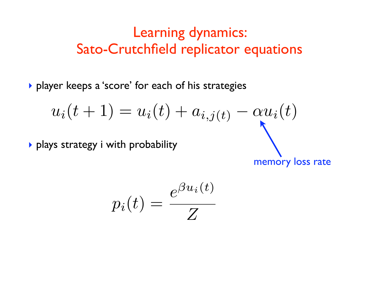# Learning dynamics: Sato-Crutchfield replicator equations

‣ player keeps a 'score' for each of his strategies

$$
u_i(t+1) = u_i(t) + a_{i,j(t)} - \alpha u_i(t)
$$
  
\n>plays strategy i with probability

memory loss rate

$$
p_i(t) = \frac{e^{\beta u_i(t)}}{Z}
$$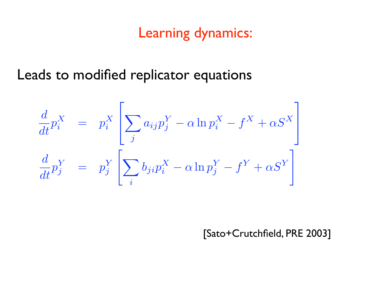# Learning dynamics:

Leads to modified replicator equations

$$
\frac{d}{dt}p_i^X = p_i^X \left[ \sum_j a_{ij} p_j^Y - \alpha \ln p_i^X - f^X + \alpha S^X \right]
$$
  

$$
\frac{d}{dt}p_j^Y = p_j^Y \left[ \sum_i b_{ji} p_i^X - \alpha \ln p_j^Y - f^Y + \alpha S^Y \right]
$$

[Sato+Crutchfield, PRE 2003]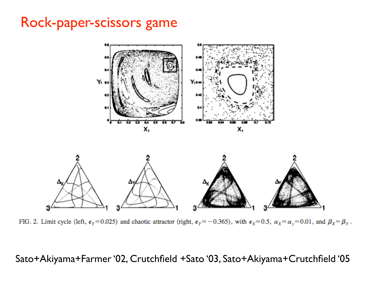### Rock-paper-scissors game



FIG. 2. Limit cycle (left,  $\epsilon_Y = 0.025$ ) and chaotic attractor (right,  $\epsilon_Y = -0.365$ ), with  $\epsilon_X = 0.5$ ,  $\alpha_X = \alpha_Y = 0.01$ , and  $\beta_X = \beta_Y$ .

Sato+Akiyama+Farmer '02, Crutchfield +Sato '03, Sato+Akiyama+Crutchfield '05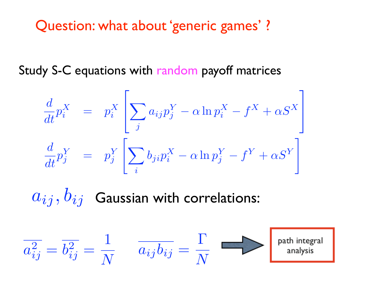# Question: what about 'generic games' ?

Study S-C equations with random payoff matrices

$$
\frac{d}{dt}p_i^X = p_i^X \left[ \sum_j a_{ij} p_j^Y - \alpha \ln p_i^X - f^X + \alpha S^X \right]
$$
  

$$
\frac{d}{dt}p_j^Y = p_j^Y \left[ \sum_i b_{ji} p_i^X - \alpha \ln p_j^Y - f^Y + \alpha S^Y \right]
$$

 $a_{ij}, b_{ij}$  Gaussian with correlations:

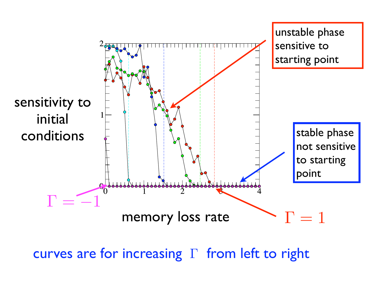

curves are for increasing  $\Gamma$  from left to right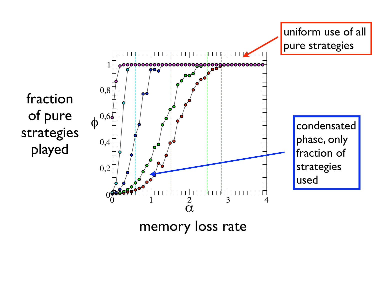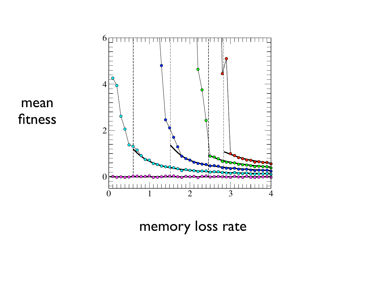

mean fitness

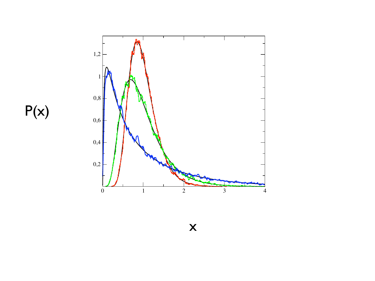

 $P(x)$ 

x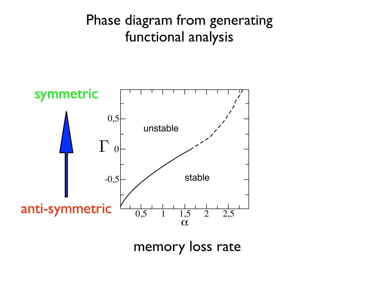# Phase diagram from generating functional analysis



memory loss rate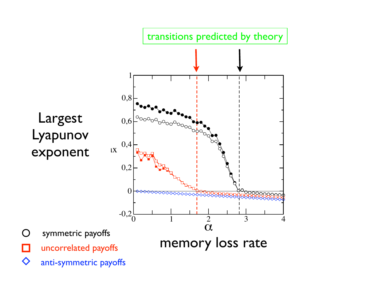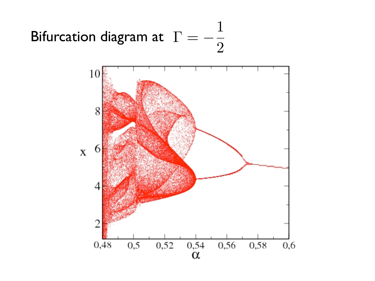#### Bifurcation diagram at  $\Gamma = -\frac{1}{2}$ 2

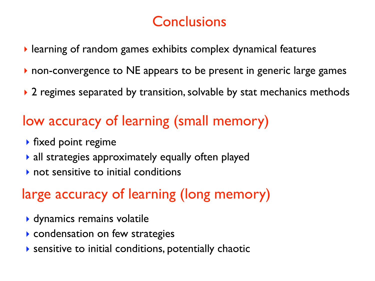# **Conclusions**

- ‣ learning of random games exhibits complex dynamical features
- non-convergence to NE appears to be present in generic large games
- ▶ 2 regimes separated by transition, solvable by stat mechanics methods

# low accuracy of learning (small memory)

- ‣ fixed point regime
- ‣ all strategies approximately equally often played
- ‣ not sensitive to initial conditions

# large accuracy of learning (long memory)

- ‣ dynamics remains volatile
- ‣ condensation on few strategies
- ‣ sensitive to initial conditions, potentially chaotic